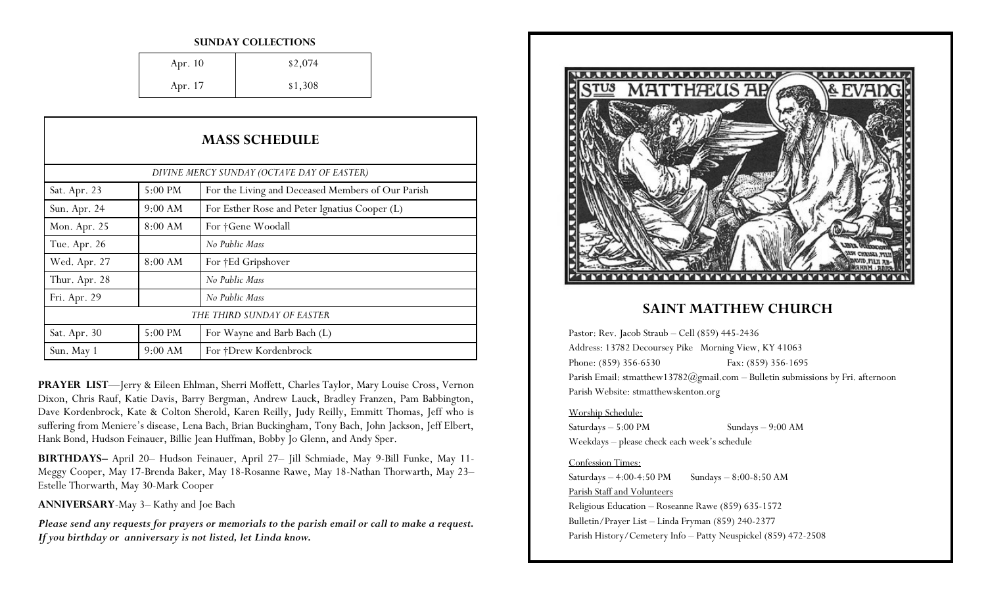### **SUNDAY COLLECTIONS**

| Apr. 10 | \$2,074 |
|---------|---------|
| Apr. 17 | \$1,308 |

| <b>MASS SCHEDULE</b>                       |         |                                                   |
|--------------------------------------------|---------|---------------------------------------------------|
| DIVINE MERCY SUNDAY (OCTAVE DAY OF EASTER) |         |                                                   |
| Sat. Apr. 23                               | 5:00 PM | For the Living and Deceased Members of Our Parish |
| Sun. Apr. 24                               | 9:00 AM | For Esther Rose and Peter Ignatius Cooper (L)     |
| Mon. Apr. 25                               | 8:00 AM | For †Gene Woodall                                 |
| Tue. Apr. 26                               |         | No Public Mass                                    |
| Wed. Apr. 27                               | 8:00 AM | For †Ed Gripshover                                |
| Thur. Apr. 28                              |         | No Public Mass                                    |
| Fri. Apr. 29                               |         | No Public Mass                                    |
|                                            |         | THE THIRD SUNDAY OF EASTER                        |
| Sat. Apr. 30                               | 5:00 PM | For Wayne and Barb Bach (L)                       |
| Sun. May 1                                 | 9:00 AM | For †Drew Kordenbrock                             |

**PRAYER LIST**—Jerry & Eileen Ehlman, Sherri Moffett, Charles Taylor, Mary Louise Cross, Vernon Dixon, Chris Rauf, Katie Davis, Barry Bergman, Andrew Lauck, Bradley Franzen, Pam Babbington, Dave Kordenbrock, Kate & Colton Sherold, Karen Reilly, Judy Reilly, Emmitt Thomas, Jeff who is suffering from Meniere's disease, Lena Bach, Brian Buckingham, Tony Bach, John Jackson, Jeff Elbert, Hank Bond, Hudson Feinauer, Billie Jean Huffman, Bobby Jo Glenn, and Andy Sper.

**BIRTHDAYS–** April 20– Hudson Feinauer, April 27– Jill Schmiade, May 9-Bill Funke, May 11- Meggy Cooper, May 17-Brenda Baker, May 18-Rosanne Rawe, May 18-Nathan Thorwarth, May 23– Estelle Thorwarth, May 30-Mark Cooper

**ANNIVERSARY**-May 3– Kathy and Joe Bach

*Please send any requests for prayers or memorials to the parish email or call to make a request. If you birthday or anniversary is not listed, let Linda know.*



### **SAINT MATTHEW CHURCH**

Pastor: Rev. Jacob Straub – Cell (859) 445-2436 Address: 13782 Decoursey Pike Morning View, KY 41063 Phone: (859) 356-6530 Fax: (859) 356-1695 Parish Email: stmatthew13782@gmail.com - Bulletin submissions by Fri. afternoon Parish Website: stmatthewskenton.org

### Worship Schedule:

Saturdays – 5:00 PM Sundays – 9:00 AM Weekdays – please check each week's schedule

### Confession Times:

Saturdays  $-4:00-4:50 \text{ PM}$  Sundays  $-8:00-8:50 \text{ AM}$ Parish Staff and Volunteers Religious Education – Roseanne Rawe (859) 635-1572 Bulletin/Prayer List – Linda Fryman (859) 240-2377 Parish History/Cemetery Info – Patty Neuspickel (859) 472-2508